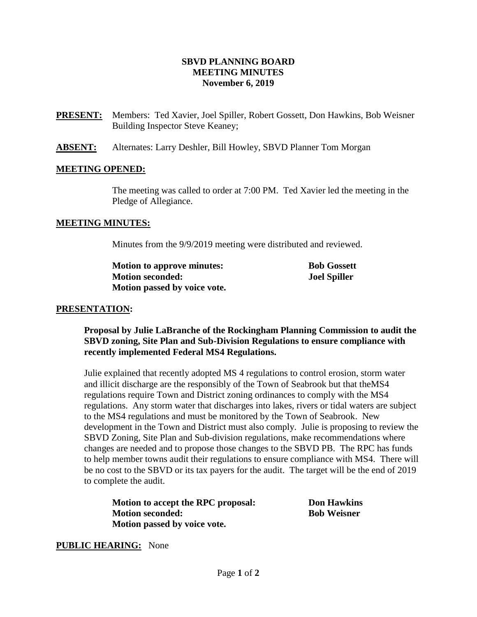# **SBVD PLANNING BOARD MEETING MINUTES November 6, 2019**

- **PRESENT:** Members:Ted Xavier, Joel Spiller, Robert Gossett, Don Hawkins, Bob Weisner Building Inspector Steve Keaney;
- **ABSENT:** Alternates: Larry Deshler, Bill Howley, SBVD Planner Tom Morgan

### **MEETING OPENED:**

The meeting was called to order at 7:00 PM. Ted Xavier led the meeting in the Pledge of Allegiance.

#### **MEETING MINUTES:**

Minutes from the 9/9/2019 meeting were distributed and reviewed.

| <b>Motion to approve minutes:</b> | <b>Bob Gossett</b>  |
|-----------------------------------|---------------------|
| <b>Motion seconded:</b>           | <b>Joel Spiller</b> |
| Motion passed by voice vote.      |                     |

#### **PRESENTATION:**

**Proposal by Julie LaBranche of the Rockingham Planning Commission to audit the SBVD zoning, Site Plan and Sub-Division Regulations to ensure compliance with recently implemented Federal MS4 Regulations.** 

Julie explained that recently adopted MS 4 regulations to control erosion, storm water and illicit discharge are the responsibly of the Town of Seabrook but that theMS4 regulations require Town and District zoning ordinances to comply with the MS4 regulations. Any storm water that discharges into lakes, rivers or tidal waters are subject to the MS4 regulations and must be monitored by the Town of Seabrook. New development in the Town and District must also comply. Julie is proposing to review the SBVD Zoning, Site Plan and Sub-division regulations, make recommendations where changes are needed and to propose those changes to the SBVD PB. The RPC has funds to help member towns audit their regulations to ensure compliance with MS4. There will be no cost to the SBVD or its tax payers for the audit. The target will be the end of 2019 to complete the audit.

| Motion to accept the RPC proposal: | <b>Don Hawkins</b> |
|------------------------------------|--------------------|
| <b>Motion seconded:</b>            | <b>Bob Weisner</b> |
| Motion passed by voice vote.       |                    |

#### **PUBLIC HEARING:** None